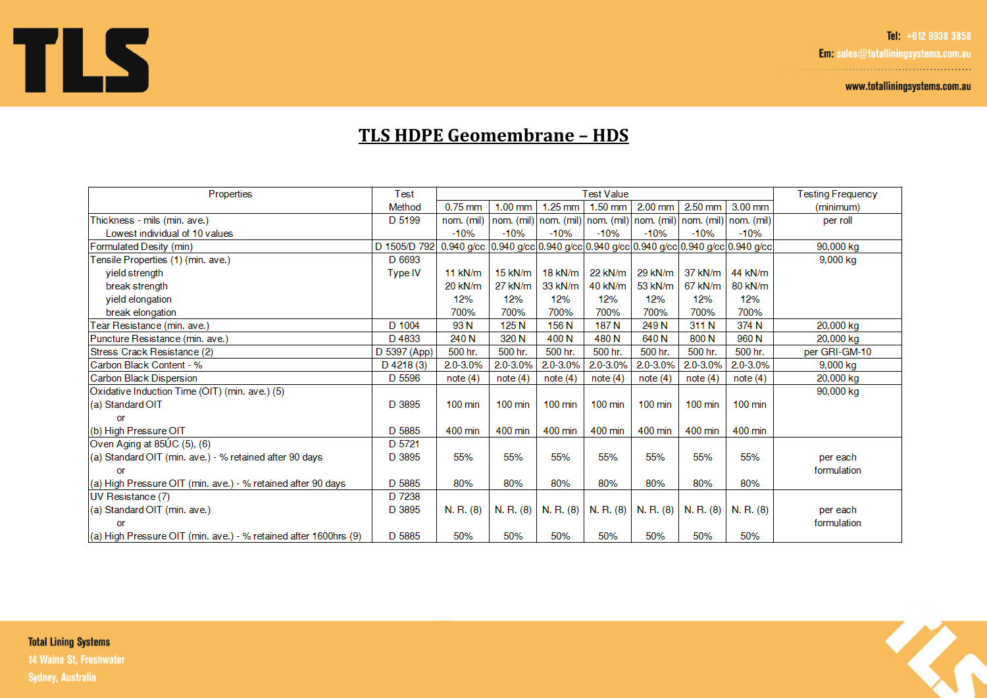Tel: +612 9938 3858

Em: sales@totalliningsystems.com.au 

www.totalliningsystems.com.au



## **TLS HDPE Geomembrane - HDS**

| Properties                                                       | Test           | <b>Test Value</b>                                                            |                   |                   |                   |                   |                                                                   |                   | <b>Testing Frequency</b> |
|------------------------------------------------------------------|----------------|------------------------------------------------------------------------------|-------------------|-------------------|-------------------|-------------------|-------------------------------------------------------------------|-------------------|--------------------------|
|                                                                  | Method         | $0.75$ mm                                                                    | $1.00$ mm         | $1.25$ mm         | $1.50$ mm         | $2.00$ mm         | $2.50$ mm                                                         | $3.00$ mm         | (minimum)                |
| Thickness - mils (min. ave.)                                     | D 5199         | nom. (mil)                                                                   |                   |                   |                   |                   | nom. (mil) nom. (mil) nom. (mil) nom. (mil) nom. (mil) nom. (mil) |                   | per roll                 |
| Lowest individual of 10 values                                   |                | $-10%$                                                                       | $-10%$            | $-10%$            | $-10%$            | $-10%$            | $-10%$                                                            | $-10%$            |                          |
| Formulated Desity (min)                                          | D 1505/D 792   | 0.940 g/cc 0.940 g/cc 0.940 g/cc 0.940 g/cc 0.940 g/cc 0.940 g/cc 0.940 g/cc |                   |                   |                   |                   |                                                                   |                   | 90,000 kg                |
| Tensile Properties (1) (min. ave.)                               | D 6693         |                                                                              |                   |                   |                   |                   |                                                                   |                   | 9,000 kg                 |
| vield strength                                                   | <b>Type IV</b> | $11$ kN/m                                                                    | $15$ kN/m         | $18$ kN/m         | 22 kN/m           | 29 kN/m           | 37 kN/m                                                           | 44 kN/m           |                          |
| break strength                                                   |                | 20 kN/m                                                                      | 27 kN/m           | 33 kN/m           | 40 kN/m           | 53 kN/m           | 67 kN/m                                                           | 80 kN/m           |                          |
| yield elongation                                                 |                | 12%                                                                          | 12%               | 12%               | 12%               | 12%               | 12%                                                               | 12%               |                          |
| break elongation                                                 |                | 700%                                                                         | 700%              | 700%              | 700%              | 700%              | 700%                                                              | 700%              |                          |
| Tear Resistance (min. ave.)                                      | D 1004         | 93N                                                                          | 125 <sub>N</sub>  | 156 N             | 187 <sub>N</sub>  | 249 N             | 311 N                                                             | 374 N             | 20,000 kg                |
| Puncture Resistance (min. ave.)                                  | D4833          | 240 N                                                                        | 320 N             | 400 N             | 480 <sub>N</sub>  | 640 N             | 800 N                                                             | 960 N             | 20,000 kg                |
| Stress Crack Resistance (2)                                      | D 5397 (App)   | 500 hr.                                                                      | 500 hr.           | 500 hr.           | 500 hr.           | 500 hr.           | 500 hr.                                                           | 500 hr.           | per GRI-GM-10            |
| Carbon Black Content - %                                         | $D$ 4218 (3)   | 2.0-3.0%                                                                     | 2.0-3.0%          | 2.0-3.0%          | $2.0 - 3.0\%$     | 2.0-3.0%          | 2.0-3.0%                                                          | $2.0 - 3.0\%$     | 9,000 kg                 |
| Carbon Black Dispersion                                          | D 5596         | note(4)                                                                      | note(4)           | note(4)           | note(4)           | note(4)           | note(4)                                                           | note $(4)$        | 20,000 kg                |
| Oxidative Induction Time (OIT) (min. ave.) (5)                   |                |                                                                              |                   |                   |                   |                   |                                                                   |                   | 90,000 kg                |
| (a) Standard OIT                                                 | D 3895         | $100 \text{ min}$                                                            | $100 \text{ min}$ | $100 \text{ min}$ | $100 \text{ min}$ | $100 \text{ min}$ | $100$ min                                                         | $100 \text{ min}$ |                          |
| or                                                               |                |                                                                              |                   |                   |                   |                   |                                                                   |                   |                          |
| (b) High Pressure OIT                                            | D 5885         | 400 min                                                                      | 400 min           | 400 min           | 400 min           | 400 min           | 400 min                                                           | 400 min           |                          |
| Oven Aging at 85UC (5), (6)                                      | D 5721         |                                                                              |                   |                   |                   |                   |                                                                   |                   |                          |
| (a) Standard OIT (min. ave.) - % retained after 90 days          | D 3895         | 55%                                                                          | 55%               | 55%               | 55%               | 55%               | 55%                                                               | 55%               | per each                 |
| or                                                               |                |                                                                              |                   |                   |                   |                   |                                                                   |                   | formulation              |
| (a) High Pressure OIT (min. ave.) - % retained after 90 days     | D 5885         | 80%                                                                          | 80%               | 80%               | 80%               | 80%               | 80%                                                               | 80%               |                          |
| UV Resistance (7)                                                | D 7238         |                                                                              |                   |                   |                   |                   |                                                                   |                   |                          |
| (a) Standard OIT (min. ave.)                                     | D 3895         | N. R. (8)                                                                    | N. R. (8)         | N. R. (8)         | N. R. (8)         | N. R. (8)         | N. R. (8)                                                         | N. R. (8)         | per each                 |
| or                                                               |                |                                                                              |                   |                   |                   |                   |                                                                   |                   | formulation              |
| (a) High Pressure OIT (min. ave.) - % retained after 1600hrs (9) | D 5885         | 50%                                                                          | 50%               | 50%               | 50%               | 50%               | 50%                                                               | 50%               |                          |